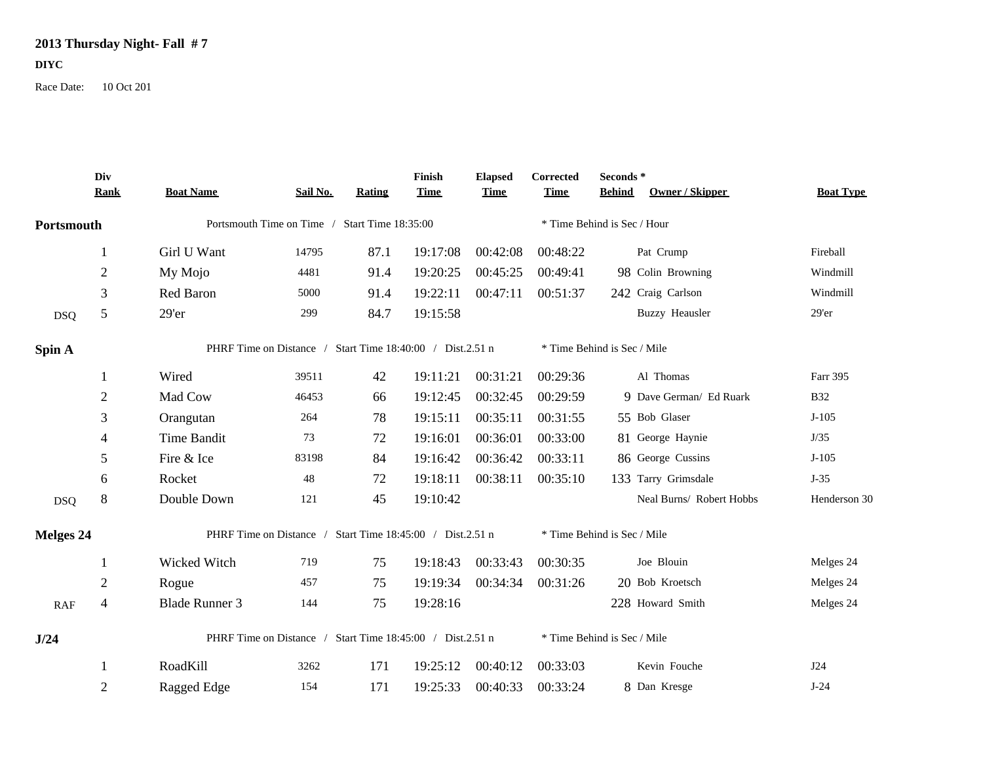## **2013 Thursday Night- Fall # 7**

## **DIYC**

Race Date: 10 Oct 201

|            | Div<br><b>Rank</b> | <b>Boat Name</b>                                          | Sail No. | <b>Rating</b> | Finish<br><b>Time</b> | <b>Elapsed</b><br><b>Time</b> | Corrected<br><b>Time</b> | Seconds*<br><b>Behind</b><br>Owner / Skipper | <b>Boat Type</b> |  |  |
|------------|--------------------|-----------------------------------------------------------|----------|---------------|-----------------------|-------------------------------|--------------------------|----------------------------------------------|------------------|--|--|
| Portsmouth |                    | Portsmouth Time on Time / Start Time 18:35:00             |          |               |                       |                               |                          |                                              |                  |  |  |
|            |                    | Girl U Want                                               | 14795    | 87.1          | 19:17:08              | 00:42:08                      | 00:48:22                 | Pat Crump                                    | Fireball         |  |  |
|            | $\overline{2}$     | My Mojo                                                   | 4481     | 91.4          | 19:20:25              | 00:45:25                      | 00:49:41                 | 98 Colin Browning                            | Windmill         |  |  |
|            | 3                  | Red Baron                                                 | 5000     | 91.4          | 19:22:11              | 00:47:11                      | 00:51:37                 | 242 Craig Carlson                            | Windmill         |  |  |
| <b>DSQ</b> | 5                  | 29'er                                                     | 299      | 84.7          | 19:15:58              |                               |                          | <b>Buzzy Heausler</b>                        | 29'er            |  |  |
| Spin A     |                    | PHRF Time on Distance / Start Time 18:40:00 / Dist.2.51 n |          |               |                       |                               |                          | * Time Behind is Sec / Mile                  |                  |  |  |
|            |                    | Wired                                                     | 39511    | 42            | 19:11:21              | 00:31:21                      | 00:29:36                 | Al Thomas                                    | Farr 395         |  |  |
|            | $\overline{2}$     | Mad Cow                                                   | 46453    | 66            | 19:12:45              | 00:32:45                      | 00:29:59                 | 9 Dave German/ Ed Ruark                      | <b>B32</b>       |  |  |
|            | 3                  | Orangutan                                                 | 264      | 78            | 19:15:11              | 00:35:11                      | 00:31:55                 | 55 Bob Glaser                                | $J-105$          |  |  |
|            | $\overline{4}$     | Time Bandit                                               | 73       | 72            | 19:16:01              | 00:36:01                      | 00:33:00                 | 81 George Haynie                             | J/35             |  |  |
|            | 5                  | Fire & Ice                                                | 83198    | 84            | 19:16:42              | 00:36:42                      | 00:33:11                 | 86 George Cussins                            | $J-105$          |  |  |
|            | 6                  | Rocket                                                    | 48       | 72            | 19:18:11              | 00:38:11                      | 00:35:10                 | 133 Tarry Grimsdale                          | $J-35$           |  |  |
| <b>DSQ</b> | 8                  | Double Down                                               | 121      | 45            | 19:10:42              |                               |                          | Neal Burns/ Robert Hobbs                     | Henderson 30     |  |  |
| Melges 24  |                    | PHRF Time on Distance / Start Time 18:45:00 / Dist.2.51 n |          |               |                       |                               |                          | * Time Behind is Sec / Mile                  |                  |  |  |
|            |                    | Wicked Witch                                              | 719      | 75            | 19:18:43              | 00:33:43                      | 00:30:35                 | Joe Blouin                                   | Melges 24        |  |  |
|            | $\overline{2}$     | Rogue                                                     | 457      | 75            | 19:19:34              | 00:34:34                      | 00:31:26                 | 20 Bob Kroetsch                              | Melges 24        |  |  |
| RAF        | $\overline{4}$     | <b>Blade Runner 3</b>                                     | 144      | 75            | 19:28:16              |                               |                          | 228 Howard Smith                             | Melges 24        |  |  |
| J/24       |                    | PHRF Time on Distance / Start Time 18:45:00 / Dist.2.51 n |          |               |                       |                               |                          | * Time Behind is Sec / Mile                  |                  |  |  |
|            |                    | RoadKill                                                  | 3262     | 171           | 19:25:12              | 00:40:12                      | 00:33:03                 | Kevin Fouche                                 | <b>J24</b>       |  |  |
|            | $\overline{2}$     | Ragged Edge                                               | 154      | 171           | 19:25:33              | 00:40:33                      | 00:33:24                 | 8 Dan Kresge                                 | $J-24$           |  |  |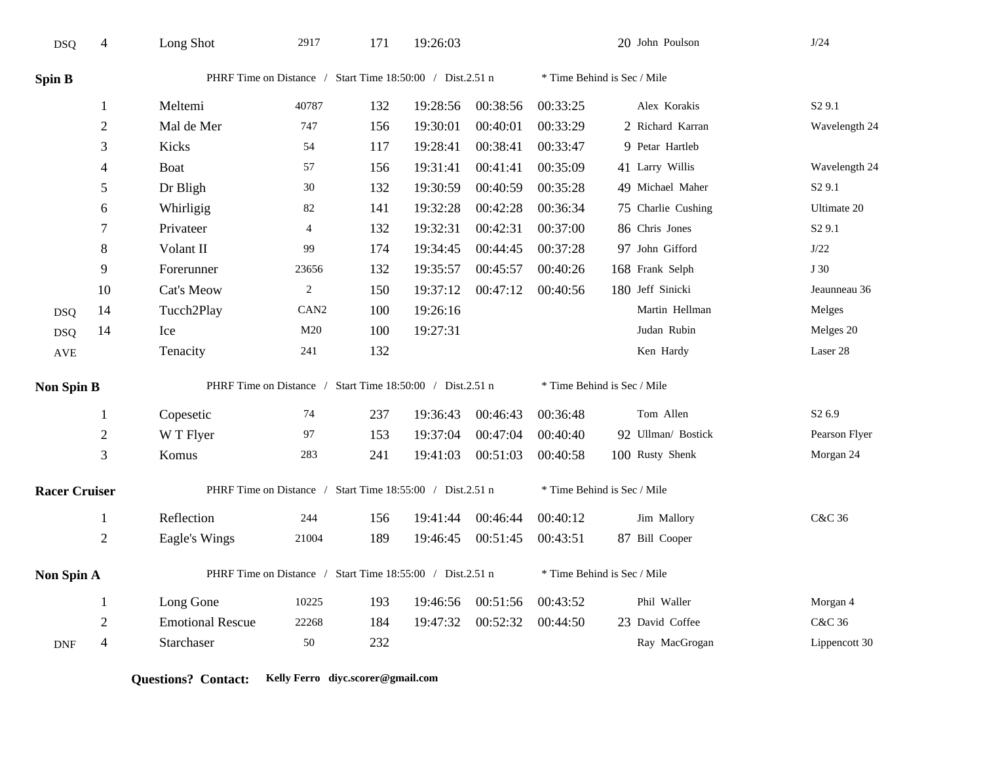| <b>DSQ</b>           | 4                        | Long Shot                                                 | 2917             | 171 | 19:26:03 |          |                             | 20 John Poulson             | J/24               |  |
|----------------------|--------------------------|-----------------------------------------------------------|------------------|-----|----------|----------|-----------------------------|-----------------------------|--------------------|--|
| Spin B               |                          | PHRF Time on Distance / Start Time 18:50:00 / Dist.2.51 n |                  |     |          |          | * Time Behind is Sec / Mile |                             |                    |  |
|                      | 1                        | Meltemi                                                   | 40787            | 132 | 19:28:56 | 00:38:56 | 00:33:25                    | Alex Korakis                | S <sub>2</sub> 9.1 |  |
|                      | $\overline{2}$           | Mal de Mer                                                | 747              | 156 | 19:30:01 | 00:40:01 | 00:33:29                    | 2 Richard Karran            | Wavelength 24      |  |
|                      | 3                        | Kicks                                                     | 54               | 117 | 19:28:41 | 00:38:41 | 00:33:47                    | 9 Petar Hartleb             |                    |  |
|                      | $\overline{\mathcal{A}}$ | Boat                                                      | 57               | 156 | 19:31:41 | 00:41:41 | 00:35:09                    | 41 Larry Willis             | Wavelength 24      |  |
|                      | 5                        | Dr Bligh                                                  | 30               | 132 | 19:30:59 | 00:40:59 | 00:35:28                    | 49 Michael Maher            | S <sub>2</sub> 9.1 |  |
|                      | 6                        | Whirligig                                                 | 82               | 141 | 19:32:28 | 00:42:28 | 00:36:34                    | 75 Charlie Cushing          | Ultimate 20        |  |
|                      | 7                        | Privateer                                                 | $\overline{4}$   | 132 | 19:32:31 | 00:42:31 | 00:37:00                    | 86 Chris Jones              | S <sub>2</sub> 9.1 |  |
|                      | $8\,$                    | Volant II                                                 | 99               | 174 | 19:34:45 | 00:44:45 | 00:37:28                    | 97 John Gifford             | $\mathrm{J}/22$    |  |
|                      | 9                        | Forerunner                                                | 23656            | 132 | 19:35:57 | 00:45:57 | 00:40:26                    | 168 Frank Selph             | J 30               |  |
|                      | 10                       | Cat's Meow                                                | $\overline{2}$   | 150 | 19:37:12 | 00:47:12 | 00:40:56                    | 180 Jeff Sinicki            | Jeaunneau 36       |  |
| <b>DSQ</b>           | 14                       | Tucch2Play                                                | CAN <sub>2</sub> | 100 | 19:26:16 |          |                             | Martin Hellman              | Melges             |  |
| <b>DSQ</b>           | 14                       | Ice                                                       | M20              | 100 | 19:27:31 |          |                             | Judan Rubin                 | Melges 20          |  |
| AVE                  |                          | Tenacity                                                  | 241              | 132 |          |          |                             | Ken Hardy                   | Laser 28           |  |
| <b>Non Spin B</b>    |                          | PHRF Time on Distance / Start Time 18:50:00 / Dist.2.51 n |                  |     |          |          |                             | * Time Behind is Sec / Mile |                    |  |
|                      | 1                        | Copesetic                                                 | 74               | 237 | 19:36:43 | 00:46:43 | 00:36:48                    | Tom Allen                   | S <sub>2</sub> 6.9 |  |
|                      | $\sqrt{2}$               | W T Flyer                                                 | 97               | 153 | 19:37:04 | 00:47:04 | 00:40:40                    | 92 Ullman/ Bostick          | Pearson Flyer      |  |
|                      | 3                        | Komus                                                     | 283              | 241 | 19:41:03 | 00:51:03 | 00:40:58                    | 100 Rusty Shenk             | Morgan 24          |  |
| <b>Racer Cruiser</b> |                          | PHRF Time on Distance / Start Time 18:55:00 / Dist.2.51 n |                  |     |          |          |                             | * Time Behind is Sec / Mile |                    |  |
|                      | $\mathbf{1}$             | Reflection                                                | 244              | 156 | 19:41:44 | 00:46:44 | 00:40:12                    | Jim Mallory                 | C&C 36             |  |
|                      | $\sqrt{2}$               | Eagle's Wings                                             | 21004            | 189 | 19:46:45 | 00:51:45 | 00:43:51                    | 87 Bill Cooper              |                    |  |
| Non Spin A           |                          | PHRF Time on Distance / Start Time 18:55:00 / Dist.2.51 n |                  |     |          |          |                             | * Time Behind is Sec / Mile |                    |  |
|                      | 1                        | Long Gone                                                 | 10225            | 193 | 19:46:56 | 00:51:56 | 00:43:52                    | Phil Waller                 | Morgan 4           |  |
|                      | $\overline{2}$           | <b>Emotional Rescue</b>                                   | 22268            | 184 | 19:47:32 | 00:52:32 | 00:44:50                    | 23 David Coffee             | C&C 36             |  |
| <b>DNF</b>           | 4                        | Starchaser                                                | 50               | 232 |          |          |                             | Ray MacGrogan               | Lippencott 30      |  |

**Questions? Contact: Kelly Ferro diyc.scorer@gmail.com**